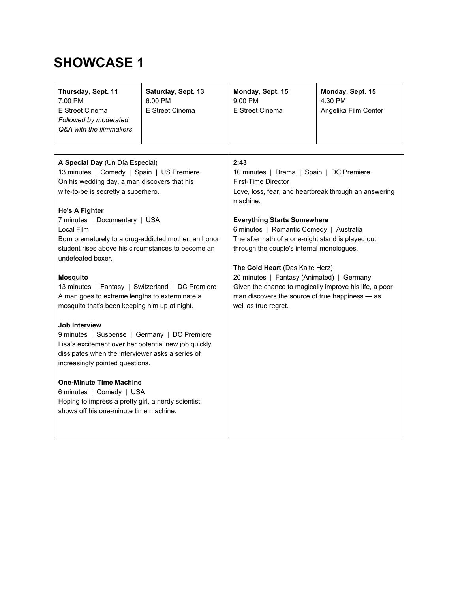| Thursday, Sept. 11<br>7:00 PM<br>E Street Cinema<br>Followed by moderated<br>Q&A with the filmmakers                                                                                                                                                                                                                                                                                                                                                                                                                                                                                                                                                                                                                                                                                                                                                                                                                                          | Saturday, Sept. 13<br>6:00 PM<br>E Street Cinema | Monday, Sept. 15<br>9:00 PM<br>E Street Cinema                                                                                                                                                                                                                                                                                                                                                                                                                                                                                                             | Monday, Sept. 15<br>4:30 PM<br>Angelika Film Center |
|-----------------------------------------------------------------------------------------------------------------------------------------------------------------------------------------------------------------------------------------------------------------------------------------------------------------------------------------------------------------------------------------------------------------------------------------------------------------------------------------------------------------------------------------------------------------------------------------------------------------------------------------------------------------------------------------------------------------------------------------------------------------------------------------------------------------------------------------------------------------------------------------------------------------------------------------------|--------------------------------------------------|------------------------------------------------------------------------------------------------------------------------------------------------------------------------------------------------------------------------------------------------------------------------------------------------------------------------------------------------------------------------------------------------------------------------------------------------------------------------------------------------------------------------------------------------------------|-----------------------------------------------------|
| A Special Day (Un Día Especial)<br>13 minutes   Comedy   Spain   US Premiere<br>On his wedding day, a man discovers that his<br>wife-to-be is secretly a superhero.<br><b>He's A Fighter</b><br>7 minutes   Documentary   USA<br>Local Film<br>Born prematurely to a drug-addicted mother, an honor<br>student rises above his circumstances to become an<br>undefeated boxer.<br><b>Mosquito</b><br>13 minutes   Fantasy   Switzerland   DC Premiere<br>A man goes to extreme lengths to exterminate a<br>mosquito that's been keeping him up at night.<br><b>Job Interview</b><br>9 minutes   Suspense   Germany   DC Premiere<br>Lisa's excitement over her potential new job quickly<br>dissipates when the interviewer asks a series of<br>increasingly pointed questions.<br><b>One-Minute Time Machine</b><br>6 minutes   Comedy   USA<br>Hoping to impress a pretty girl, a nerdy scientist<br>shows off his one-minute time machine. |                                                  | 2:43<br>10 minutes   Drama   Spain   DC Premiere<br><b>First-Time Director</b><br>Love, loss, fear, and heartbreak through an answering<br>machine.<br><b>Everything Starts Somewhere</b><br>6 minutes   Romantic Comedy   Australia<br>The aftermath of a one-night stand is played out<br>through the couple's internal monologues.<br>The Cold Heart (Das Kalte Herz)<br>20 minutes   Fantasy (Animated)   Germany<br>Given the chance to magically improve his life, a poor<br>man discovers the source of true happiness - as<br>well as true regret. |                                                     |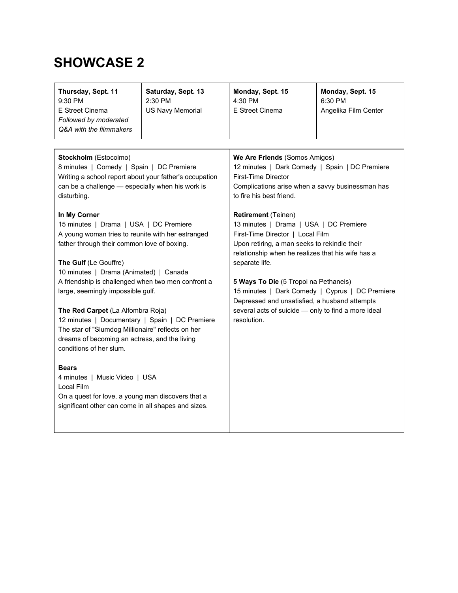| Stockholm (Estocolmo)<br>We Are Friends (Somos Amigos)<br>8 minutes   Comedy   Spain   DC Premiere<br>12 minutes   Dark Comedy   Spain   DC Premiere                                                                                                                                                                                                                                                                                                                                                                                                                                                                                                                                                                                                                                                                                                                                                                                                                                                                                                                                                                                                                                                                                                                                                                                                                                           | Thursday, Sept. 11<br>9:30 PM<br>E Street Cinema<br>Followed by moderated<br>Q&A with the filmmakers | Saturday, Sept. 13<br>2:30 PM<br><b>US Navy Memorial</b> | Monday, Sept. 15<br>4:30 PM<br>E Street Cinema | Monday, Sept. 15<br>6:30 PM<br>Angelika Film Center |
|------------------------------------------------------------------------------------------------------------------------------------------------------------------------------------------------------------------------------------------------------------------------------------------------------------------------------------------------------------------------------------------------------------------------------------------------------------------------------------------------------------------------------------------------------------------------------------------------------------------------------------------------------------------------------------------------------------------------------------------------------------------------------------------------------------------------------------------------------------------------------------------------------------------------------------------------------------------------------------------------------------------------------------------------------------------------------------------------------------------------------------------------------------------------------------------------------------------------------------------------------------------------------------------------------------------------------------------------------------------------------------------------|------------------------------------------------------------------------------------------------------|----------------------------------------------------------|------------------------------------------------|-----------------------------------------------------|
| Writing a school report about your father's occupation<br>can be a challenge - especially when his work is<br>Complications arise when a savvy businessman has<br>to fire his best friend.<br>disturbing.<br>In My Corner<br><b>Retirement (Teinen)</b><br>15 minutes   Drama   USA   DC Premiere<br>13 minutes   Drama   USA   DC Premiere<br>A young woman tries to reunite with her estranged<br>First-Time Director   Local Film<br>father through their common love of boxing.<br>Upon retiring, a man seeks to rekindle their<br>relationship when he realizes that his wife has a<br>The Gulf (Le Gouffre)<br>separate life.<br>10 minutes   Drama (Animated)   Canada<br>A friendship is challenged when two men confront a<br>5 Ways To Die (5 Tropoi na Pethaneis)<br>15 minutes   Dark Comedy   Cyprus   DC Premiere<br>large, seemingly impossible gulf.<br>Depressed and unsatisfied, a husband attempts<br>several acts of suicide - only to find a more ideal<br>The Red Carpet (La Alfombra Roja)<br>12 minutes   Documentary   Spain   DC Premiere<br>resolution.<br>The star of "Slumdog Millionaire" reflects on her<br>dreams of becoming an actress, and the living<br>conditions of her slum.<br><b>Bears</b><br>4 minutes   Music Video   USA<br>Local Film<br>On a quest for love, a young man discovers that a<br>significant other can come in all shapes and sizes. |                                                                                                      |                                                          | <b>First-Time Director</b>                     |                                                     |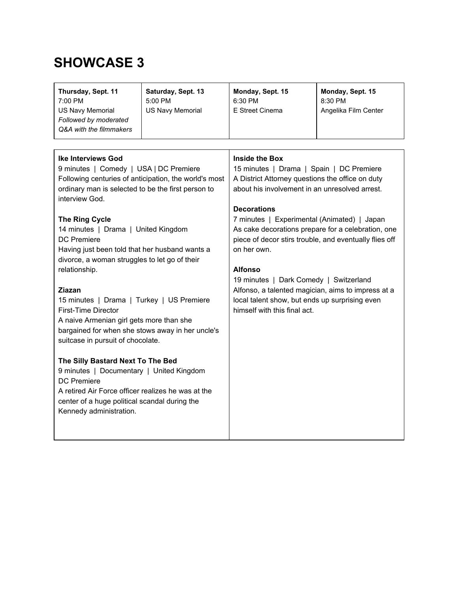| <b>Ike Interviews God</b><br>Inside the Box<br>9 minutes   Comedy   USA   DC Premiere<br>15 minutes   Drama   Spain   DC Premiere<br>A District Attorney questions the office on duty<br>Following centuries of anticipation, the world's most<br>about his involvement in an unresolved arrest.<br>ordinary man is selected to be the first person to<br>interview God.<br><b>Decorations</b><br><b>The Ring Cycle</b><br>7 minutes   Experimental (Animated)   Japan<br>14 minutes   Drama   United Kingdom<br>As cake decorations prepare for a celebration, one<br><b>DC</b> Premiere<br>piece of decor stirs trouble, and eventually flies off<br>Having just been told that her husband wants a<br>on her own.<br>divorce, a woman struggles to let go of their<br>relationship.<br><b>Alfonso</b><br>19 minutes   Dark Comedy   Switzerland<br>Ziazan<br>Alfonso, a talented magician, aims to impress at a<br>local talent show, but ends up surprising even<br>15 minutes   Drama   Turkey   US Premiere<br><b>First-Time Director</b><br>himself with this final act.<br>A naive Armenian girl gets more than she<br>bargained for when she stows away in her uncle's<br>suitcase in pursuit of chocolate. | Thursday, Sept. 11<br>7:00 PM<br><b>US Navy Memorial</b><br>Followed by moderated<br>Q&A with the filmmakers | Saturday, Sept. 13<br>5:00 PM<br><b>US Navy Memorial</b> | Monday, Sept. 15<br>6:30 PM<br>E Street Cinema | Monday, Sept. 15<br>8:30 PM<br>Angelika Film Center |
|----------------------------------------------------------------------------------------------------------------------------------------------------------------------------------------------------------------------------------------------------------------------------------------------------------------------------------------------------------------------------------------------------------------------------------------------------------------------------------------------------------------------------------------------------------------------------------------------------------------------------------------------------------------------------------------------------------------------------------------------------------------------------------------------------------------------------------------------------------------------------------------------------------------------------------------------------------------------------------------------------------------------------------------------------------------------------------------------------------------------------------------------------------------------------------------------------------------------|--------------------------------------------------------------------------------------------------------------|----------------------------------------------------------|------------------------------------------------|-----------------------------------------------------|
| The Silly Bastard Next To The Bed<br>9 minutes   Documentary   United Kingdom<br><b>DC</b> Premiere<br>A retired Air Force officer realizes he was at the<br>center of a huge political scandal during the<br>Kennedy administration.                                                                                                                                                                                                                                                                                                                                                                                                                                                                                                                                                                                                                                                                                                                                                                                                                                                                                                                                                                                |                                                                                                              |                                                          |                                                |                                                     |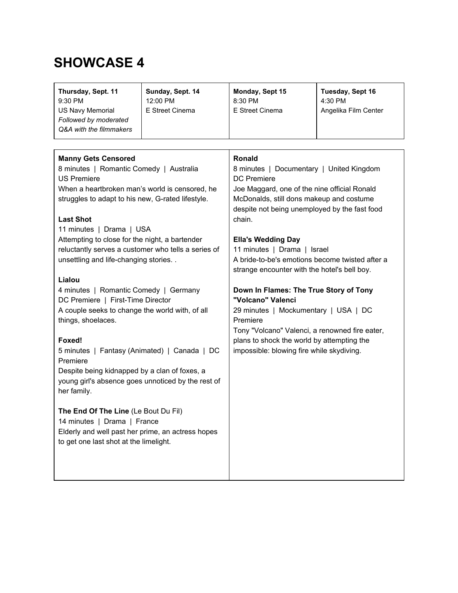| Thursday, Sept. 11<br>9:30 PM<br><b>US Navy Memorial</b><br>Followed by moderated<br>Q&A with the filmmakers                                                                                                                                                                                                                                                                                                                                                                                                          | Sunday, Sept. 14<br>12:00 PM<br>E Street Cinema | Monday, Sept 15<br>8:30 PM<br>E Street Cinema                                                                                                                                                                                                                                                                                                                                                         | Tuesday, Sept 16<br>4:30 PM<br>Angelika Film Center |
|-----------------------------------------------------------------------------------------------------------------------------------------------------------------------------------------------------------------------------------------------------------------------------------------------------------------------------------------------------------------------------------------------------------------------------------------------------------------------------------------------------------------------|-------------------------------------------------|-------------------------------------------------------------------------------------------------------------------------------------------------------------------------------------------------------------------------------------------------------------------------------------------------------------------------------------------------------------------------------------------------------|-----------------------------------------------------|
| <b>Manny Gets Censored</b><br>8 minutes   Romantic Comedy   Australia<br><b>US Premiere</b><br>When a heartbroken man's world is censored, he<br>struggles to adapt to his new, G-rated lifestyle.<br><b>Last Shot</b><br>11 minutes   Drama   USA<br>Attempting to close for the night, a bartender<br>reluctantly serves a customer who tells a series of<br>unsettling and life-changing stories<br>Lialou                                                                                                         |                                                 | <b>Ronald</b><br>8 minutes   Documentary   United Kingdom<br><b>DC</b> Premiere<br>Joe Maggard, one of the nine official Ronald<br>McDonalds, still dons makeup and costume<br>despite not being unemployed by the fast food<br>chain.<br><b>Ella's Wedding Day</b><br>11 minutes   Drama   Israel<br>A bride-to-be's emotions become twisted after a<br>strange encounter with the hotel's bell boy. |                                                     |
| 4 minutes   Romantic Comedy   Germany<br>DC Premiere   First-Time Director<br>A couple seeks to change the world with, of all<br>things, shoelaces.<br>Foxed!<br>5 minutes   Fantasy (Animated)   Canada   DC<br>Premiere<br>Despite being kidnapped by a clan of foxes, a<br>young girl's absence goes unnoticed by the rest of<br>her family.<br>The End Of The Line (Le Bout Du Fil)<br>14 minutes   Drama   France<br>Elderly and well past her prime, an actress hopes<br>to get one last shot at the limelight. |                                                 | Down In Flames: The True Story of Tony<br>"Volcano" Valenci<br>29 minutes   Mockumentary   USA   DC<br>Premiere<br>Tony "Volcano" Valenci, a renowned fire eater,<br>plans to shock the world by attempting the<br>impossible: blowing fire while skydiving.                                                                                                                                          |                                                     |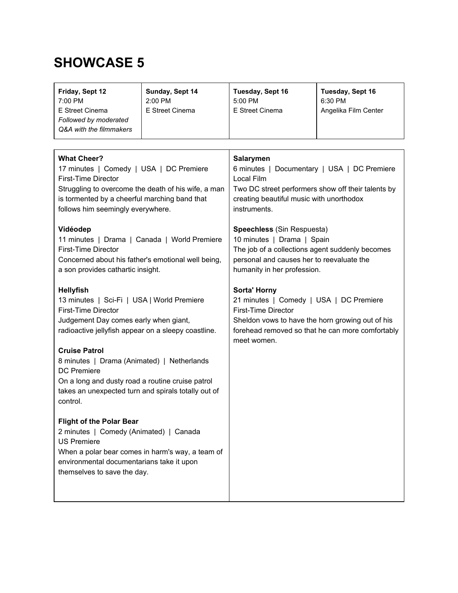| Friday, Sept 12<br>7:00 PM<br>E Street Cinema<br>Followed by moderated<br>Q&A with the filmmakers                                                                                                                                                                                                                                                                                                                                                                                                                                                                                                                                                                                                                                                                                                                                                                                                                                                                 | Sunday, Sept 14<br>2:00 PM<br>E Street Cinema                                                           | Tuesday, Sept 16<br>5:00 PM<br>E Street Cinema                                                                                                                                                                                                                                                                                                                                                                                                                                                                                                                | Tuesday, Sept 16<br>6:30 PM<br>Angelika Film Center |
|-------------------------------------------------------------------------------------------------------------------------------------------------------------------------------------------------------------------------------------------------------------------------------------------------------------------------------------------------------------------------------------------------------------------------------------------------------------------------------------------------------------------------------------------------------------------------------------------------------------------------------------------------------------------------------------------------------------------------------------------------------------------------------------------------------------------------------------------------------------------------------------------------------------------------------------------------------------------|---------------------------------------------------------------------------------------------------------|---------------------------------------------------------------------------------------------------------------------------------------------------------------------------------------------------------------------------------------------------------------------------------------------------------------------------------------------------------------------------------------------------------------------------------------------------------------------------------------------------------------------------------------------------------------|-----------------------------------------------------|
| <b>What Cheer?</b><br>17 minutes   Comedy   USA   DC Premiere<br><b>First-Time Director</b><br>is tormented by a cheerful marching band that<br>follows him seemingly everywhere.<br>Vidéodep<br>11 minutes   Drama   Canada   World Premiere<br><b>First-Time Director</b><br>Concerned about his father's emotional well being,<br>a son provides cathartic insight.<br><b>Hellyfish</b><br>13 minutes   Sci-Fi   USA   World Premiere<br>First-Time Director<br>Judgement Day comes early when giant,<br>radioactive jellyfish appear on a sleepy coastline.<br><b>Cruise Patrol</b><br>8 minutes   Drama (Animated)   Netherlands<br><b>DC</b> Premiere<br>On a long and dusty road a routine cruise patrol<br>takes an unexpected turn and spirals totally out of<br>control.<br><b>Flight of the Polar Bear</b><br>2 minutes   Comedy (Animated)   Canada<br><b>US Premiere</b><br>environmental documentarians take it upon<br>themselves to save the day. | Struggling to overcome the death of his wife, a man<br>When a polar bear comes in harm's way, a team of | <b>Salarymen</b><br>6 minutes   Documentary   USA   DC Premiere<br>Local Film<br>Two DC street performers show off their talents by<br>creating beautiful music with unorthodox<br>instruments.<br>Speechless (Sin Respuesta)<br>10 minutes   Drama   Spain<br>The job of a collections agent suddenly becomes<br>personal and causes her to reevaluate the<br>humanity in her profession.<br><b>Sorta' Horny</b><br>21 minutes   Comedy   USA   DC Premiere<br><b>First-Time Director</b><br>Sheldon vows to have the horn growing out of his<br>meet women. | forehead removed so that he can more comfortably    |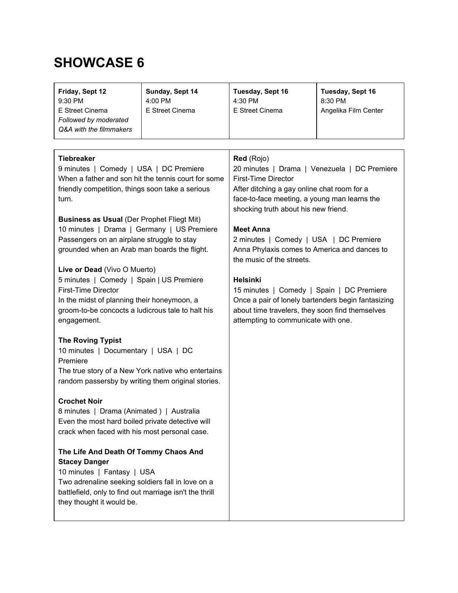| Friday, Sept 12<br>9:30 PM                              | Sunday, Sept 14<br>4:00 PM                          | Tuesday, Sept 16<br>4:30 PM                                               | Tuesday, Sept 16<br>8:30 PM |
|---------------------------------------------------------|-----------------------------------------------------|---------------------------------------------------------------------------|-----------------------------|
| E Street Cinema                                         | E Street Cinema                                     | E Street Cinema                                                           | Angelika Film Center        |
| Followed by moderated                                   |                                                     |                                                                           |                             |
| Q&A with the filmmakers                                 |                                                     |                                                                           |                             |
|                                                         |                                                     |                                                                           |                             |
|                                                         |                                                     |                                                                           |                             |
| <b>Tiebreaker</b>                                       |                                                     | Red (Rojo)                                                                |                             |
| 9 minutes   Comedy   USA   DC Premiere                  |                                                     | 20 minutes   Drama   Venezuela   DC Premiere                              |                             |
|                                                         | When a father and son hit the tennis court for some | First-Time Director                                                       |                             |
| friendly competition, things soon take a serious        |                                                     | After ditching a gay online chat room for a                               |                             |
| turn.                                                   |                                                     | face-to-face meeting, a young man learns the                              |                             |
|                                                         |                                                     | shocking truth about his new friend.                                      |                             |
| <b>Business as Usual (Der Prophet Fliegt Mit)</b>       |                                                     | <b>Meet Anna</b>                                                          |                             |
| 10 minutes   Drama   Germany   US Premiere              |                                                     |                                                                           |                             |
| Passengers on an airplane struggle to stay              |                                                     | 2 minutes   Comedy   USA   DC Premiere                                    |                             |
| grounded when an Arab man boards the flight.            |                                                     | Anna Phylaxis comes to America and dances to<br>the music of the streets. |                             |
| Live or Dead (Vivo O Muerto)                            |                                                     |                                                                           |                             |
| 5 minutes   Comedy   Spain   US Premiere                |                                                     | <b>Helsinki</b>                                                           |                             |
| <b>First-Time Director</b>                              |                                                     | 15 minutes   Comedy   Spain   DC Premiere                                 |                             |
| In the midst of planning their honeymoon, a             |                                                     | Once a pair of lonely bartenders begin fantasizing                        |                             |
| groom-to-be concocts a ludicrous tale to halt his       |                                                     | about time travelers, they soon find themselves                           |                             |
|                                                         |                                                     | attempting to communicate with one.                                       |                             |
| engagement.                                             |                                                     |                                                                           |                             |
| <b>The Roving Typist</b>                                |                                                     |                                                                           |                             |
| 10 minutes   Documentary   USA   DC                     |                                                     |                                                                           |                             |
| Premiere                                                |                                                     |                                                                           |                             |
| The true story of a New York native who entertains      |                                                     |                                                                           |                             |
| random passersby by writing them original stories.      |                                                     |                                                                           |                             |
|                                                         |                                                     |                                                                           |                             |
| <b>Crochet Noir</b>                                     |                                                     |                                                                           |                             |
| 8 minutes   Drama (Animated)   Australia                |                                                     |                                                                           |                             |
| Even the most hard boiled private detective will        |                                                     |                                                                           |                             |
| crack when faced with his most personal case.           |                                                     |                                                                           |                             |
| The Life And Death Of Tommy Chaos And                   |                                                     |                                                                           |                             |
| <b>Stacey Danger</b>                                    |                                                     |                                                                           |                             |
| 10 minutes   Fantasy   USA                              |                                                     |                                                                           |                             |
| Two adrenaline seeking soldiers fall in love on a       |                                                     |                                                                           |                             |
| battlefield, only to find out marriage isn't the thrill |                                                     |                                                                           |                             |
| they thought it would be.                               |                                                     |                                                                           |                             |
|                                                         |                                                     |                                                                           |                             |
|                                                         |                                                     |                                                                           |                             |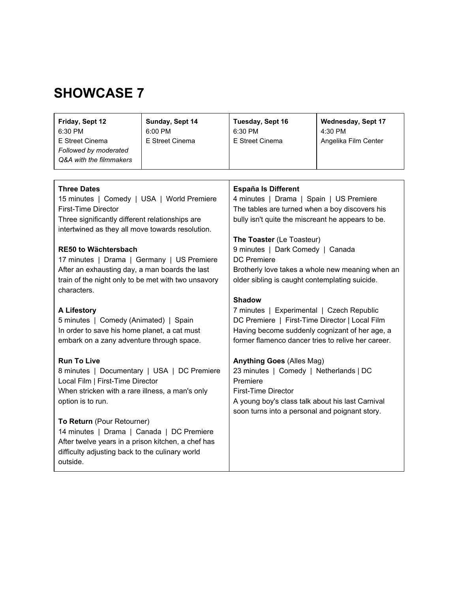| Friday, Sept 12         | Sunday, Sept 14 | Tuesday, Sept 16 | <b>Wednesday, Sept 17</b> |
|-------------------------|-----------------|------------------|---------------------------|
| 6:30 PM                 | $6:00$ PM       | 6:30 PM          | 4:30 PM                   |
| E Street Cinema         | E Street Cinema | E Street Cinema  | Angelika Film Center      |
| Followed by moderated   |                 |                  |                           |
| Q&A with the filmmakers |                 |                  |                           |
|                         |                 |                  |                           |

| <b>Three Dates</b>                                  | <b>España Is Different</b>                         |
|-----------------------------------------------------|----------------------------------------------------|
| 15 minutes   Comedy   USA   World Premiere          | 4 minutes   Drama   Spain   US Premiere            |
| <b>First-Time Director</b>                          | The tables are turned when a boy discovers his     |
| Three significantly different relationships are     | bully isn't quite the miscreant he appears to be.  |
| intertwined as they all move towards resolution.    |                                                    |
|                                                     | The Toaster (Le Toasteur)                          |
| <b>RE50 to Wächtersbach</b>                         | 9 minutes   Dark Comedy   Canada                   |
| 17 minutes   Drama   Germany   US Premiere          | <b>DC</b> Premiere                                 |
| After an exhausting day, a man boards the last      | Brotherly love takes a whole new meaning when an   |
| train of the night only to be met with two unsavory | older sibling is caught contemplating suicide.     |
| characters.                                         |                                                    |
|                                                     | <b>Shadow</b>                                      |
| <b>A Lifestory</b>                                  | 7 minutes   Experimental   Czech Republic          |
| 5 minutes   Comedy (Animated)   Spain               | DC Premiere   First-Time Director   Local Film     |
| In order to save his home planet, a cat must        | Having become suddenly cognizant of her age, a     |
| embark on a zany adventure through space.           | former flamenco dancer tries to relive her career. |
| <b>Run To Live</b>                                  | <b>Anything Goes (Alles Mag)</b>                   |
| 8 minutes   Documentary   USA   DC Premiere         | 23 minutes   Comedy   Netherlands   DC             |
| Local Film   First-Time Director                    | Premiere                                           |
| When stricken with a rare illness, a man's only     | First-Time Director                                |
| option is to run.                                   | A young boy's class talk about his last Carnival   |
|                                                     | soon turns into a personal and poignant story.     |
| To Return (Pour Retourner)                          |                                                    |
| 14 minutes   Drama   Canada   DC Premiere           |                                                    |
| After twelve years in a prison kitchen, a chef has  |                                                    |
| difficulty adjusting back to the culinary world     |                                                    |
| outside.                                            |                                                    |
|                                                     |                                                    |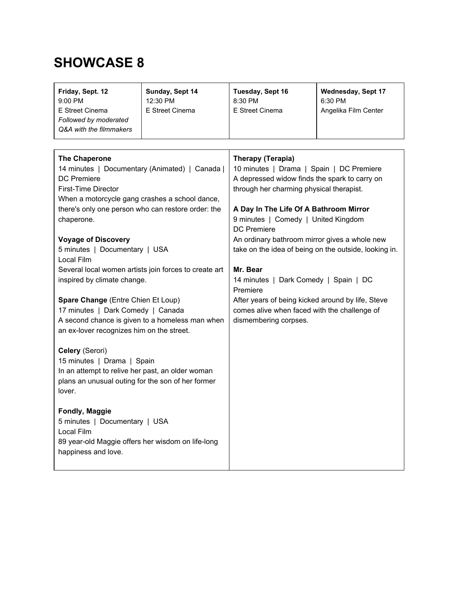| Friday, Sept. 12<br>9:00 PM<br>E Street Cinema<br>Followed by moderated<br>Q&A with the filmmakers                                                                                                                                                                                                                                                                                                                    | Sunday, Sept 14<br>12:30 PM<br>E Street Cinema | Tuesday, Sept 16<br>8:30 PM<br>E Street Cinema                                                                                                                                                                                                                                                                                                                                                                                               | <b>Wednesday, Sept 17</b><br>6:30 PM<br>Angelika Film Center |
|-----------------------------------------------------------------------------------------------------------------------------------------------------------------------------------------------------------------------------------------------------------------------------------------------------------------------------------------------------------------------------------------------------------------------|------------------------------------------------|----------------------------------------------------------------------------------------------------------------------------------------------------------------------------------------------------------------------------------------------------------------------------------------------------------------------------------------------------------------------------------------------------------------------------------------------|--------------------------------------------------------------|
|                                                                                                                                                                                                                                                                                                                                                                                                                       |                                                |                                                                                                                                                                                                                                                                                                                                                                                                                                              |                                                              |
| <b>The Chaperone</b><br>14 minutes   Documentary (Animated)   Canada  <br><b>DC</b> Premiere<br><b>First-Time Director</b><br>When a motorcycle gang crashes a school dance,<br>there's only one person who can restore order: the<br>chaperone.<br><b>Voyage of Discovery</b><br>5 minutes   Documentary   USA<br>Local Film<br>Several local women artists join forces to create art<br>inspired by climate change. |                                                | Therapy (Terapia)<br>10 minutes   Drama   Spain   DC Premiere<br>A depressed widow finds the spark to carry on<br>through her charming physical therapist.<br>A Day In The Life Of A Bathroom Mirror<br>9 minutes   Comedy   United Kingdom<br><b>DC</b> Premiere<br>An ordinary bathroom mirror gives a whole new<br>take on the idea of being on the outside, looking in.<br>Mr. Bear<br>14 minutes   Dark Comedy   Spain   DC<br>Premiere |                                                              |
| Spare Change (Entre Chien Et Loup)<br>17 minutes   Dark Comedy   Canada<br>A second chance is given to a homeless man when<br>an ex-lover recognizes him on the street.                                                                                                                                                                                                                                               |                                                | After years of being kicked around by life, Steve<br>comes alive when faced with the challenge of<br>dismembering corpses.                                                                                                                                                                                                                                                                                                                   |                                                              |
| Celery (Serori)<br>15 minutes   Drama   Spain<br>In an attempt to relive her past, an older woman<br>plans an unusual outing for the son of her former<br>lover.                                                                                                                                                                                                                                                      |                                                |                                                                                                                                                                                                                                                                                                                                                                                                                                              |                                                              |
| <b>Fondly, Maggie</b><br>5 minutes   Documentary   USA<br>Local Film<br>89 year-old Maggie offers her wisdom on life-long<br>happiness and love.                                                                                                                                                                                                                                                                      |                                                |                                                                                                                                                                                                                                                                                                                                                                                                                                              |                                                              |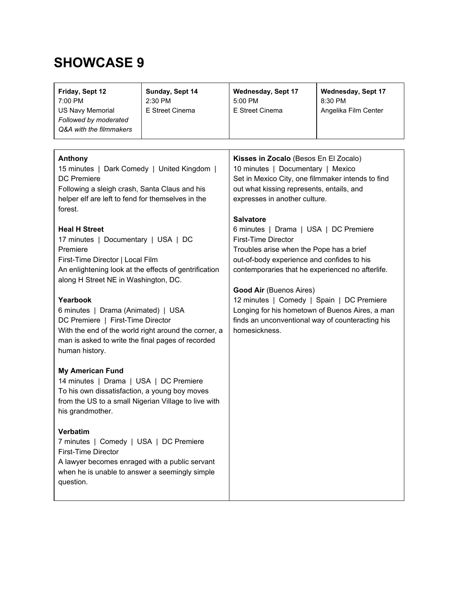| Friday, Sept 12<br>7:00 PM<br><b>US Navy Memorial</b><br>Followed by moderated<br>Q&A with the filmmakers                                                                                                | Sunday, Sept 14<br>2:30 PM<br>E Street Cinema | <b>Wednesday, Sept 17</b><br>5:00 PM<br>E Street Cinema                                                                                                                                                                          | <b>Wednesday, Sept 17</b><br>8:30 PM<br>Angelika Film Center |
|----------------------------------------------------------------------------------------------------------------------------------------------------------------------------------------------------------|-----------------------------------------------|----------------------------------------------------------------------------------------------------------------------------------------------------------------------------------------------------------------------------------|--------------------------------------------------------------|
| Anthony<br>15 minutes   Dark Comedy   United Kingdom  <br><b>DC</b> Premiere<br>Following a sleigh crash, Santa Claus and his                                                                            |                                               | Kisses in Zocalo (Besos En El Zocalo)<br>10 minutes   Documentary   Mexico<br>Set in Mexico City, one filmmaker intends to find<br>out what kissing represents, entails, and                                                     |                                                              |
| helper elf are left to fend for themselves in the<br>forest.<br><b>Heal H Street</b><br>17 minutes   Documentary   USA   DC<br>Premiere                                                                  |                                               | expresses in another culture.<br><b>Salvatore</b><br>6 minutes   Drama   USA   DC Premiere<br><b>First-Time Director</b><br>Troubles arise when the Pope has a brief                                                             |                                                              |
| First-Time Director   Local Film<br>An enlightening look at the effects of gentrification<br>along H Street NE in Washington, DC.<br>Yearbook                                                            |                                               | out-of-body experience and confides to his<br>contemporaries that he experienced no afterlife.<br><b>Good Air (Buenos Aires)</b><br>12 minutes   Comedy   Spain   DC Premiere<br>Longing for his hometown of Buenos Aires, a man |                                                              |
| 6 minutes   Drama (Animated)   USA<br>DC Premiere   First-Time Director<br>With the end of the world right around the corner, a<br>man is asked to write the final pages of recorded<br>human history.   |                                               | finds an unconventional way of counteracting his<br>homesickness.                                                                                                                                                                |                                                              |
| <b>My American Fund</b><br>14 minutes   Drama   USA   DC Premiere<br>To his own dissatisfaction, a young boy moves<br>from the US to a small Nigerian Village to live with<br>his grandmother.           |                                               |                                                                                                                                                                                                                                  |                                                              |
| <b>Verbatim</b><br>7 minutes   Comedy   USA   DC Premiere<br><b>First-Time Director</b><br>A lawyer becomes enraged with a public servant<br>when he is unable to answer a seemingly simple<br>question. |                                               |                                                                                                                                                                                                                                  |                                                              |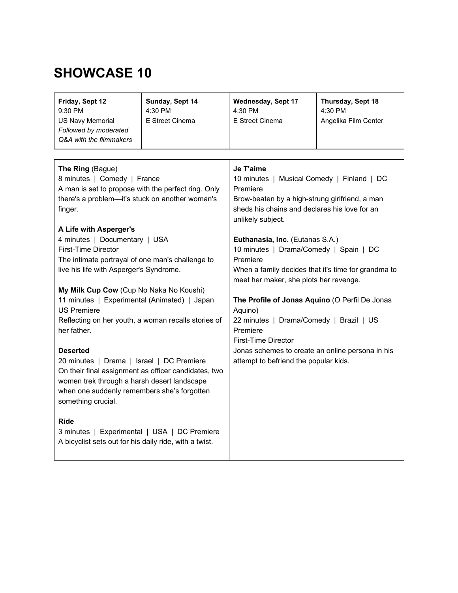| Friday, Sept 12<br>9:30 PM<br><b>US Navy Memorial</b><br>Followed by moderated<br>Q&A with the filmmakers                                                                                                                                | Sunday, Sept 14<br>4:30 PM<br>E Street Cinema | <b>Wednesday, Sept 17</b><br>4:30 PM<br>E Street Cinema                                                                                                                                     | Thursday, Sept 18<br>4:30 PM<br>Angelika Film Center |
|------------------------------------------------------------------------------------------------------------------------------------------------------------------------------------------------------------------------------------------|-----------------------------------------------|---------------------------------------------------------------------------------------------------------------------------------------------------------------------------------------------|------------------------------------------------------|
|                                                                                                                                                                                                                                          |                                               |                                                                                                                                                                                             |                                                      |
| The Ring (Bague)<br>8 minutes   Comedy   France<br>A man is set to propose with the perfect ring. Only<br>there's a problem-it's stuck on another woman's<br>finger.<br>A Life with Asperger's                                           |                                               | Je T'aime<br>10 minutes   Musical Comedy   Finland   DC<br>Premiere<br>Brow-beaten by a high-strung girlfriend, a man<br>sheds his chains and declares his love for an<br>unlikely subject. |                                                      |
| 4 minutes   Documentary   USA<br><b>First-Time Director</b><br>The intimate portrayal of one man's challenge to<br>live his life with Asperger's Syndrome.                                                                               |                                               | Euthanasia, Inc. (Eutanas S.A.)<br>10 minutes   Drama/Comedy   Spain   DC<br>Premiere<br>When a family decides that it's time for grandma to<br>meet her maker, she plots her revenge.      |                                                      |
| My Milk Cup Cow (Cup No Naka No Koushi)                                                                                                                                                                                                  |                                               |                                                                                                                                                                                             |                                                      |
| 11 minutes   Experimental (Animated)   Japan                                                                                                                                                                                             |                                               | The Profile of Jonas Aquino (O Perfil De Jonas                                                                                                                                              |                                                      |
| <b>US Premiere</b>                                                                                                                                                                                                                       |                                               | Aquino)                                                                                                                                                                                     |                                                      |
| Reflecting on her youth, a woman recalls stories of<br>her father.                                                                                                                                                                       |                                               | 22 minutes   Drama/Comedy   Brazil   US<br>Premiere                                                                                                                                         |                                                      |
|                                                                                                                                                                                                                                          |                                               | First-Time Director                                                                                                                                                                         |                                                      |
| <b>Deserted</b><br>20 minutes   Drama   Israel   DC Premiere<br>On their final assignment as officer candidates, two<br>women trek through a harsh desert landscape<br>when one suddenly remembers she's forgotten<br>something crucial. |                                               | Jonas schemes to create an online persona in his<br>attempt to befriend the popular kids.                                                                                                   |                                                      |
| <b>Ride</b><br>3 minutes   Experimental   USA   DC Premiere<br>A bicyclist sets out for his daily ride, with a twist.                                                                                                                    |                                               |                                                                                                                                                                                             |                                                      |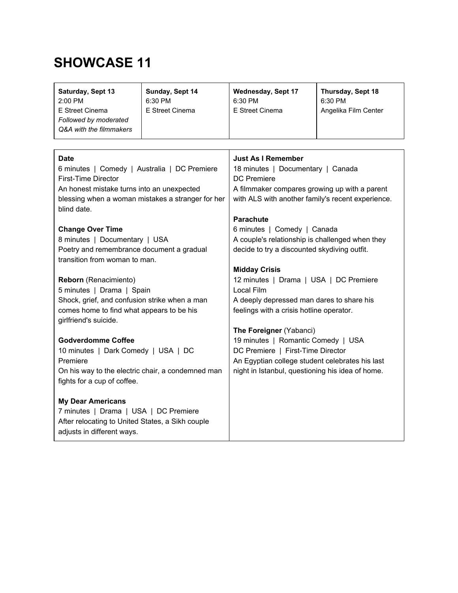| Saturday, Sept 13<br>2:00 PM<br>E Street Cinema<br>Followed by moderated<br>Q&A with the filmmakers                                                   | Sunday, Sept 14<br>6:30 PM<br>E Street Cinema | <b>Wednesday, Sept 17</b><br>6:30 PM<br>E Street Cinema                                                                                            | Thursday, Sept 18<br>6:30 PM<br>Angelika Film Center |
|-------------------------------------------------------------------------------------------------------------------------------------------------------|-----------------------------------------------|----------------------------------------------------------------------------------------------------------------------------------------------------|------------------------------------------------------|
| <b>Date</b>                                                                                                                                           |                                               | Just As I Remember                                                                                                                                 |                                                      |
| 6 minutes   Comedy   Australia   DC Premiere                                                                                                          |                                               | 18 minutes   Documentary   Canada                                                                                                                  |                                                      |
| <b>First-Time Director</b>                                                                                                                            |                                               | <b>DC</b> Premiere                                                                                                                                 |                                                      |
| An honest mistake turns into an unexpected                                                                                                            |                                               | A filmmaker compares growing up with a parent                                                                                                      |                                                      |
| blessing when a woman mistakes a stranger for her                                                                                                     |                                               | with ALS with another family's recent experience.                                                                                                  |                                                      |
| blind date.<br><b>Change Over Time</b><br>8 minutes   Documentary   USA<br>Poetry and remembrance document a gradual<br>transition from woman to man. |                                               | <b>Parachute</b><br>6 minutes   Comedy   Canada<br>A couple's relationship is challenged when they<br>decide to try a discounted skydiving outfit. |                                                      |
| Reborn (Renacimiento)                                                                                                                                 |                                               | <b>Midday Crisis</b>                                                                                                                               |                                                      |
| 5 minutes   Drama   Spain                                                                                                                             |                                               | 12 minutes   Drama   USA   DC Premiere                                                                                                             |                                                      |
| Shock, grief, and confusion strike when a man                                                                                                         |                                               | Local Film                                                                                                                                         |                                                      |
| comes home to find what appears to be his                                                                                                             |                                               | A deeply depressed man dares to share his                                                                                                          |                                                      |
| girlfriend's suicide.                                                                                                                                 |                                               | feelings with a crisis hotline operator.                                                                                                           |                                                      |
| <b>Godverdomme Coffee</b>                                                                                                                             |                                               | The Foreigner (Yabanci)                                                                                                                            |                                                      |
| 10 minutes   Dark Comedy   USA   DC                                                                                                                   |                                               | 19 minutes   Romantic Comedy   USA                                                                                                                 |                                                      |
| Premiere                                                                                                                                              |                                               | DC Premiere   First-Time Director                                                                                                                  |                                                      |
| On his way to the electric chair, a condemned man                                                                                                     |                                               | An Egyptian college student celebrates his last                                                                                                    |                                                      |
| fights for a cup of coffee.                                                                                                                           |                                               | night in Istanbul, questioning his idea of home.                                                                                                   |                                                      |
| <b>My Dear Americans</b><br>7 minutes   Drama   USA   DC Premiere<br>After relocating to United States, a Sikh couple<br>adjusts in different ways.   |                                               |                                                                                                                                                    |                                                      |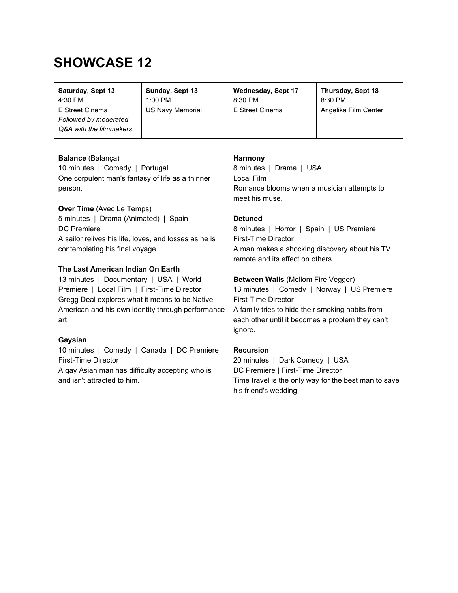| Saturday, Sept 13<br>4:30 PM<br>E Street Cinema<br>Followed by moderated<br>Q&A with the filmmakers | Sunday, Sept 13<br>$1:00$ PM<br><b>US Navy Memorial</b> | Wednesday, Sept 17<br>8:30 PM<br>E Street Cinema | Thursday, Sept 18<br>8:30 PM<br>Angelika Film Center |  |
|-----------------------------------------------------------------------------------------------------|---------------------------------------------------------|--------------------------------------------------|------------------------------------------------------|--|
|                                                                                                     |                                                         |                                                  |                                                      |  |
| <b>Balance</b> (Balança)                                                                            |                                                         | Harmony                                          |                                                      |  |
| 10 minutes   Comedy   Portugal                                                                      |                                                         | 8 minutes   Drama   USA                          |                                                      |  |
| One corpulent man's fantasy of life as a thinner                                                    |                                                         | Local Film                                       |                                                      |  |
| person.                                                                                             |                                                         | Romance blooms when a musician attempts to       |                                                      |  |

**Over Time** (Avec Le Temps) 5 minutes | Drama (Animated) | Spain DC Premiere A sailor relives his life, loves, and losses as he is contemplating his final voyage. **The Last American Indian On Earth** 13 minutes | Documentary | USA | World Premiere | Local Film | First-Time Director Gregg Deal explores what it means to be Native American and his own identity through performance art. **Gaysian** 10 minutes | Comedy | Canada | DC Premiere First-Time Director A gay Asian man has difficulty accepting who is and isn't attracted to him. meet his muse. **Detuned** 8 minutes | Horror | Spain | US Premiere First-Time Director A man makes a shocking discovery about his TV remote and its effect on others. **Between Walls** (Mellom Fire Vegger) 13 minutes | Comedy | Norway | US Premiere First-Time Director A family tries to hide their smoking habits from each other until it becomes a problem they can't ignore. **Recursion** 20 minutes | Dark Comedy | USA DC Premiere | First-Time Director Time travel is the only way for the best man to save his friend's wedding.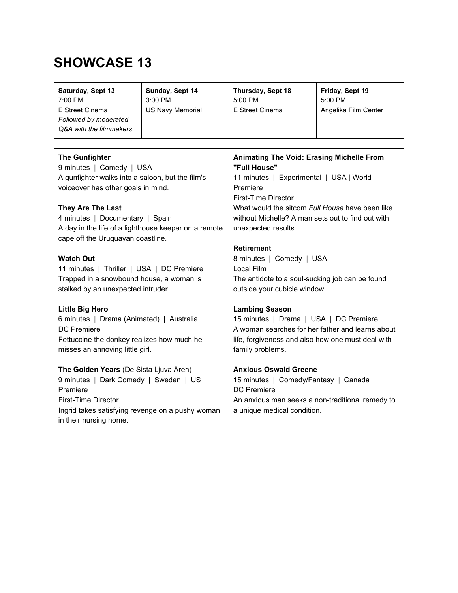| Saturday, Sept 13<br>7:00 PM<br>E Street Cinema<br>Followed by moderated<br>Q&A with the filmmakers                                                                                                                                                                                              | Sunday, Sept 14<br>3:00 PM<br><b>US Navy Memorial</b> | Thursday, Sept 18<br>5:00 PM<br>E Street Cinema                                                                                                                                                                                                                                                    | Friday, Sept 19<br>5:00 PM<br>Angelika Film Center |  |
|--------------------------------------------------------------------------------------------------------------------------------------------------------------------------------------------------------------------------------------------------------------------------------------------------|-------------------------------------------------------|----------------------------------------------------------------------------------------------------------------------------------------------------------------------------------------------------------------------------------------------------------------------------------------------------|----------------------------------------------------|--|
|                                                                                                                                                                                                                                                                                                  |                                                       |                                                                                                                                                                                                                                                                                                    |                                                    |  |
| <b>The Gunfighter</b><br>9 minutes   Comedy   USA<br>A gunfighter walks into a saloon, but the film's<br>voiceover has other goals in mind.<br>They Are The Last<br>4 minutes   Documentary   Spain<br>A day in the life of a lighthouse keeper on a remote<br>cape off the Uruguayan coastline. |                                                       | Animating The Void: Erasing Michelle From<br>"Full House"<br>11 minutes   Experimental   USA   World<br>Premiere<br><b>First-Time Director</b><br>What would the sitcom Full House have been like<br>without Michelle? A man sets out to find out with<br>unexpected results.<br><b>Retirement</b> |                                                    |  |
| <b>Watch Out</b>                                                                                                                                                                                                                                                                                 |                                                       | 8 minutes   Comedy   USA<br>Local Film                                                                                                                                                                                                                                                             |                                                    |  |
| 11 minutes   Thriller   USA   DC Premiere<br>Trapped in a snowbound house, a woman is<br>stalked by an unexpected intruder.                                                                                                                                                                      |                                                       | The antidote to a soul-sucking job can be found<br>outside your cubicle window.                                                                                                                                                                                                                    |                                                    |  |
| <b>Little Big Hero</b><br>6 minutes   Drama (Animated)   Australia<br><b>DC</b> Premiere<br>Fettuccine the donkey realizes how much he<br>misses an annoying little girl.                                                                                                                        |                                                       | <b>Lambing Season</b><br>15 minutes   Drama   USA   DC Premiere<br>A woman searches for her father and learns about<br>life, forgiveness and also how one must deal with<br>family problems.                                                                                                       |                                                    |  |
| The Golden Years (De Sista Ljuva Åren)<br>9 minutes   Dark Comedy   Sweden   US<br>Premiere<br><b>First-Time Director</b><br>Ingrid takes satisfying revenge on a pushy woman<br>in their nursing home.                                                                                          |                                                       | <b>Anxious Oswald Greene</b><br>15 minutes   Comedy/Fantasy   Canada<br><b>DC</b> Premiere<br>An anxious man seeks a non-traditional remedy to<br>a unique medical condition.                                                                                                                      |                                                    |  |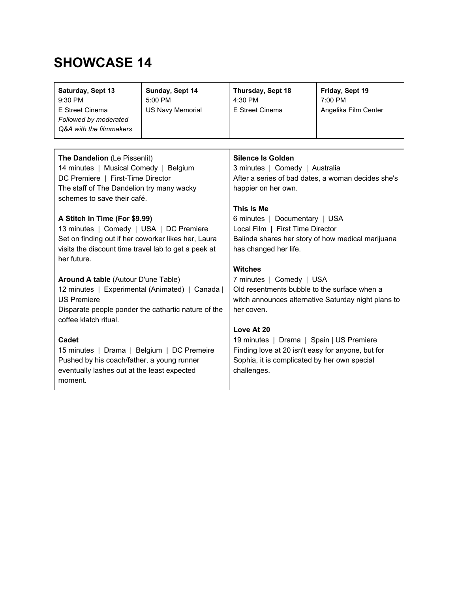| Saturday, Sept 13<br>9:30 PM<br>E Street Cinema<br>Followed by moderated<br>Q&A with the filmmakers | Sunday, Sept 14<br>5:00 PM<br><b>US Navy Memorial</b> | Thursday, Sept 18<br>4:30 PM<br>E Street Cinema     | Friday, Sept 19<br>7:00 PM<br>Angelika Film Center |  |
|-----------------------------------------------------------------------------------------------------|-------------------------------------------------------|-----------------------------------------------------|----------------------------------------------------|--|
|                                                                                                     |                                                       |                                                     |                                                    |  |
| The Dandelion (Le Pissenlit)                                                                        |                                                       | <b>Silence Is Golden</b>                            |                                                    |  |
| 14 minutes   Musical Comedy   Belgium                                                               |                                                       | 3 minutes   Comedy   Australia                      |                                                    |  |
| DC Premiere   First-Time Director                                                                   |                                                       | After a series of bad dates, a woman decides she's  |                                                    |  |
| The staff of The Dandelion try many wacky                                                           |                                                       | happier on her own.                                 |                                                    |  |
| schemes to save their café.                                                                         |                                                       |                                                     |                                                    |  |
|                                                                                                     |                                                       | This Is Me                                          |                                                    |  |
| A Stitch In Time (For \$9.99)                                                                       |                                                       | 6 minutes   Documentary   USA                       |                                                    |  |
| 13 minutes   Comedy   USA   DC Premiere                                                             |                                                       | Local Film   First Time Director                    |                                                    |  |
| Set on finding out if her coworker likes her, Laura                                                 |                                                       | Balinda shares her story of how medical marijuana   |                                                    |  |
| visits the discount time travel lab to get a peek at                                                |                                                       | has changed her life.                               |                                                    |  |
| her future.                                                                                         |                                                       |                                                     |                                                    |  |
|                                                                                                     |                                                       | <b>Witches</b>                                      |                                                    |  |
| <b>Around A table (Autour D'une Table)</b>                                                          |                                                       | 7 minutes   Comedy   USA                            |                                                    |  |
| 12 minutes   Experimental (Animated)   Canada                                                       |                                                       | Old resentments bubble to the surface when a        |                                                    |  |
| <b>US Premiere</b>                                                                                  |                                                       | witch announces alternative Saturday night plans to |                                                    |  |
| Disparate people ponder the cathartic nature of the<br>coffee klatch ritual.                        |                                                       | her coven.                                          |                                                    |  |
|                                                                                                     |                                                       | Love At 20                                          |                                                    |  |
| <b>Cadet</b>                                                                                        |                                                       | 19 minutes   Drama   Spain   US Premiere            |                                                    |  |
| 15 minutes   Drama   Belgium   DC Premeire                                                          |                                                       | Finding love at 20 isn't easy for anyone, but for   |                                                    |  |
| Pushed by his coach/father, a young runner                                                          |                                                       | Sophia, it is complicated by her own special        |                                                    |  |
| eventually lashes out at the least expected                                                         |                                                       | challenges.                                         |                                                    |  |
| moment.                                                                                             |                                                       |                                                     |                                                    |  |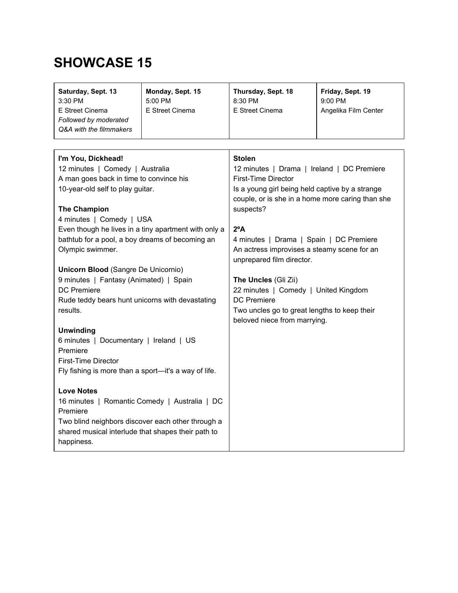| Saturday, Sept. 13<br>$3:30$ PM<br>E Street Cinema<br>Followed by moderated<br>Q&A with the filmmakers | Monday, Sept. 15<br>$5:00$ PM<br>E Street Cinema | Thursday, Sept. 18<br>8:30 PM<br>E Street Cinema | Friday, Sept. 19<br>$9:00$ PM<br>Angelika Film Center |
|--------------------------------------------------------------------------------------------------------|--------------------------------------------------|--------------------------------------------------|-------------------------------------------------------|
|                                                                                                        |                                                  |                                                  |                                                       |
| I'm You, Dickhead!                                                                                     |                                                  | <b>Stolen</b>                                    |                                                       |

| 12 minutes   Comedy   Australia                      | 12 minutes   Drama   Ireland   DC Premiere       |
|------------------------------------------------------|--------------------------------------------------|
| A man goes back in time to convince his              | <b>First-Time Director</b>                       |
| 10-year-old self to play guitar.                     | Is a young girl being held captive by a strange  |
|                                                      | couple, or is she in a home more caring than she |
| <b>The Champion</b>                                  | suspects?                                        |
| 4 minutes   Comedy   USA                             |                                                  |
| Even though he lives in a tiny apartment with only a | $2^{\circ}$ A                                    |
| bathtub for a pool, a boy dreams of becoming an      | 4 minutes   Drama   Spain   DC Premiere          |
| Olympic swimmer.                                     | An actress improvises a steamy scene for an      |
|                                                      | unprepared film director.                        |
| <b>Unicorn Blood (Sangre De Unicornio)</b>           |                                                  |
| 9 minutes   Fantasy (Animated)   Spain               | The Uncles (Gli Zii)                             |
| <b>DC</b> Premiere                                   | 22 minutes   Comedy   United Kingdom             |
| Rude teddy bears hunt unicorns with devastating      | <b>DC</b> Premiere                               |
| results.                                             | Two uncles go to great lengths to keep their     |
|                                                      | beloved niece from marrying.                     |
| <b>Unwinding</b>                                     |                                                  |
| 6 minutes   Documentary   Ireland   US               |                                                  |
| Premiere                                             |                                                  |
| <b>First-Time Director</b>                           |                                                  |
| Fly fishing is more than a sport-it's a way of life. |                                                  |
|                                                      |                                                  |
| <b>Love Notes</b>                                    |                                                  |
| 16 minutes   Romantic Comedy   Australia   DC        |                                                  |
| Premiere                                             |                                                  |
| Two blind neighbors discover each other through a    |                                                  |
| shared musical interlude that shapes their path to   |                                                  |
| happiness.                                           |                                                  |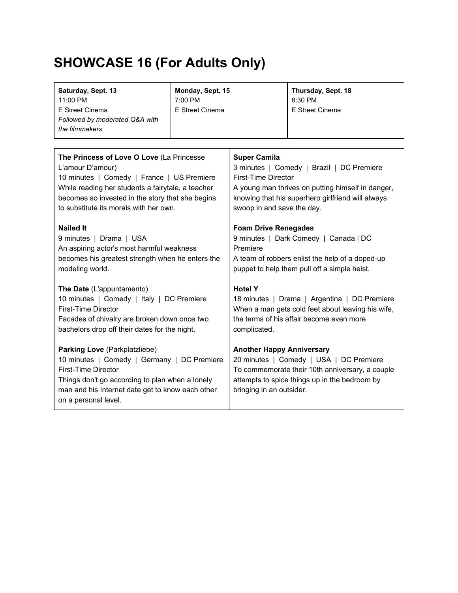# **SHOWCASE 16 (For Adults Only)**

| Saturday, Sept. 13<br>11:00 PM<br>E Street Cinema<br>Followed by moderated Q&A with<br>the filmmakers                                                                                                                                     | Monday, Sept. 15<br>7:00 PM<br>E Street Cinema |                                                                                                                                                                                                             | Thursday, Sept. 18<br>8:30 PM<br>E Street Cinema |
|-------------------------------------------------------------------------------------------------------------------------------------------------------------------------------------------------------------------------------------------|------------------------------------------------|-------------------------------------------------------------------------------------------------------------------------------------------------------------------------------------------------------------|--------------------------------------------------|
| The Princess of Love O Love (La Princesse                                                                                                                                                                                                 |                                                | <b>Super Camila</b>                                                                                                                                                                                         |                                                  |
| L'amour D'amour)                                                                                                                                                                                                                          |                                                | 3 minutes   Comedy   Brazil   DC Premiere                                                                                                                                                                   |                                                  |
| 10 minutes   Comedy   France   US Premiere                                                                                                                                                                                                |                                                | <b>First-Time Director</b>                                                                                                                                                                                  |                                                  |
| While reading her students a fairytale, a teacher                                                                                                                                                                                         |                                                | A young man thrives on putting himself in danger,                                                                                                                                                           |                                                  |
| becomes so invested in the story that she begins                                                                                                                                                                                          |                                                | knowing that his superhero girlfriend will always                                                                                                                                                           |                                                  |
| to substitute its morals with her own.                                                                                                                                                                                                    |                                                | swoop in and save the day.                                                                                                                                                                                  |                                                  |
| <b>Nailed It</b>                                                                                                                                                                                                                          |                                                | <b>Foam Drive Renegades</b>                                                                                                                                                                                 |                                                  |
| 9 minutes   Drama   USA                                                                                                                                                                                                                   |                                                | 9 minutes   Dark Comedy   Canada   DC                                                                                                                                                                       |                                                  |
| An aspiring actor's most harmful weakness                                                                                                                                                                                                 |                                                | Premiere                                                                                                                                                                                                    |                                                  |
| becomes his greatest strength when he enters the                                                                                                                                                                                          |                                                | A team of robbers enlist the help of a doped-up                                                                                                                                                             |                                                  |
| modeling world.                                                                                                                                                                                                                           |                                                | puppet to help them pull off a simple heist.                                                                                                                                                                |                                                  |
| The Date (L'appuntamento)                                                                                                                                                                                                                 |                                                | <b>Hotel Y</b>                                                                                                                                                                                              |                                                  |
| 10 minutes   Comedy   Italy   DC Premiere                                                                                                                                                                                                 |                                                | 18 minutes   Drama   Argentina   DC Premiere                                                                                                                                                                |                                                  |
| <b>First-Time Director</b>                                                                                                                                                                                                                |                                                | When a man gets cold feet about leaving his wife,                                                                                                                                                           |                                                  |
| Facades of chivalry are broken down once two                                                                                                                                                                                              |                                                | the terms of his affair become even more                                                                                                                                                                    |                                                  |
| bachelors drop off their dates for the night.                                                                                                                                                                                             |                                                | complicated.                                                                                                                                                                                                |                                                  |
| Parking Love (Parkplatzliebe)<br>10 minutes   Comedy   Germany   DC Premiere<br><b>First-Time Director</b><br>Things don't go according to plan when a lonely<br>man and his Internet date get to know each other<br>on a personal level. |                                                | <b>Another Happy Anniversary</b><br>20 minutes   Comedy   USA   DC Premiere<br>To commemorate their 10th anniversary, a couple<br>attempts to spice things up in the bedroom by<br>bringing in an outsider. |                                                  |